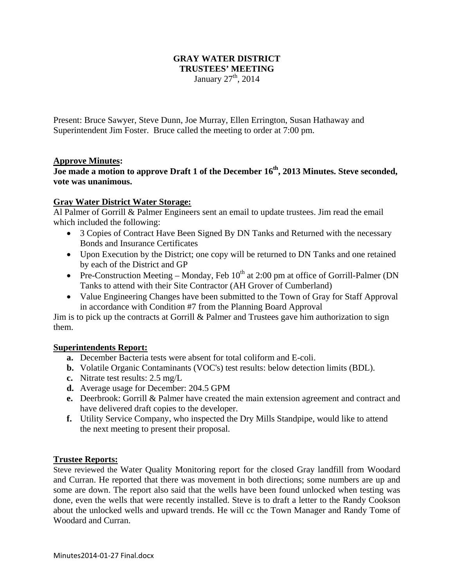# **GRAY WATER DISTRICT TRUSTEES' MEETING**

January  $27<sup>th</sup>$ , 2014

Present: Bruce Sawyer, Steve Dunn, Joe Murray, Ellen Errington, Susan Hathaway and Superintendent Jim Foster. Bruce called the meeting to order at 7:00 pm.

### **Approve Minutes:**

# Joe made a motion to approve Draft 1 of the December 16<sup>th</sup>, 2013 Minutes. Steve seconded, **vote was unanimous.**

## **Gray Water District Water Storage:**

Al Palmer of Gorrill & Palmer Engineers sent an email to update trustees. Jim read the email which included the following:

- 3 Copies of Contract Have Been Signed By DN Tanks and Returned with the necessary Bonds and Insurance Certificates
- Upon Execution by the District; one copy will be returned to DN Tanks and one retained by each of the District and GP
- Pre-Construction Meeting Monday, Feb  $10^{th}$  at 2:00 pm at office of Gorrill-Palmer (DN Tanks to attend with their Site Contractor (AH Grover of Cumberland)
- Value Engineering Changes have been submitted to the Town of Gray for Staff Approval in accordance with Condition #7 from the Planning Board Approval

Jim is to pick up the contracts at Gorrill & Palmer and Trustees gave him authorization to sign them.

### **Superintendents Report:**

- **a.** December Bacteria tests were absent for total coliform and E-coli.
- **b.** Volatile Organic Contaminants (VOC's) test results: below detection limits (BDL).
- **c.** Nitrate test results: 2.5 mg/L
- **d.** Average usage for December: 204.5 GPM
- **e.** Deerbrook: Gorrill & Palmer have created the main extension agreement and contract and have delivered draft copies to the developer.
- **f.** Utility Service Company, who inspected the Dry Mills Standpipe, would like to attend the next meeting to present their proposal.

### **Trustee Reports:**

Steve reviewed the Water Quality Monitoring report for the closed Gray landfill from Woodard and Curran. He reported that there was movement in both directions; some numbers are up and some are down. The report also said that the wells have been found unlocked when testing was done, even the wells that were recently installed. Steve is to draft a letter to the Randy Cookson about the unlocked wells and upward trends. He will cc the Town Manager and Randy Tome of Woodard and Curran.